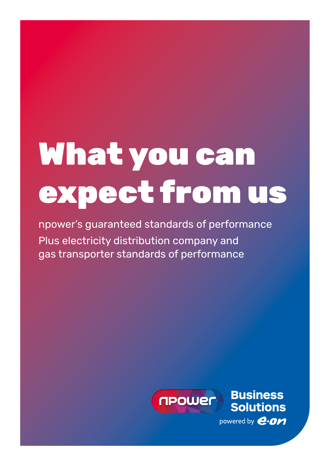# What you can expect from us

npower's guaranteed standards of performance Plus electricity distribution company and gas transporter standards of performance



**Business Solutions** powered by **e.an**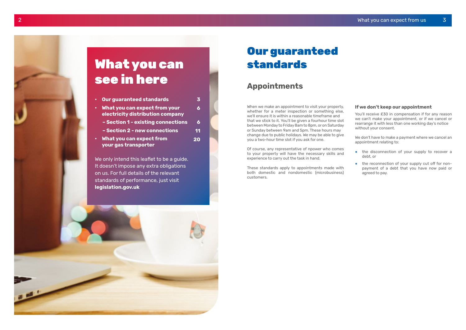When we make an appointment to visit your property, whether for a meter inspection or something else, we'll ensure it is within a reasonable timeframe and that we stick to it. You'll be given a fourhour time slot between Monday to Friday 8am to 8pm, or on Saturday or Sunday between 9am and 5pm. These hours may change due to public holidays. We may be able to give you a two-hour time slot if you ask for one.

Of course, any representative of npower who comes to your property will have the necessary skills and experience to carry out the task in hand.

- the disconnection of your supply to recover a debt, or
- the reconnection of your supply cut off for nonpayment of a debt that you have now paid or agreed to pay.

These standards apply to appointments made with both domestic and nondomestic (microbusiness) customers.



#### **If we don't keep our appointment**

You'll receive £30 in compensation if for any reason we can't make your appointment, or if we cancel or rearrange it with less than one working day's notice without your consent.

We don't have to make a payment where we cancel an appointment relating to:

# Our guaranteed

# What you can standards see in here **Appointments**

| $\bullet$ | <b>Our guaranteed standards</b>                                   |    |
|-----------|-------------------------------------------------------------------|----|
| $\bullet$ | What you can expect from your<br>electricity distribution company | 6  |
|           | - Section 1 - existing connections                                | 6  |
|           | - Section 2 - new connections                                     | 11 |
| $\bullet$ | What you can expect from<br>your gas transporter                  | 20 |

We only intend this leaflet to be a guide. It doesn't impose any extra obligations on us. For full details of the relevant standards of performance, just visit **legislation.gov.uk**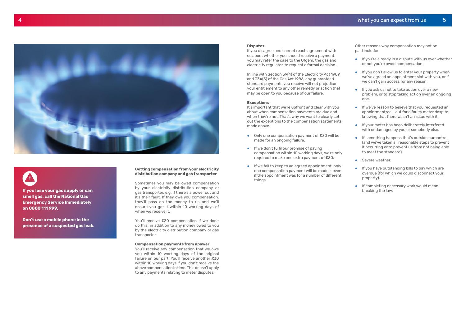#### **Disputes**

If you disagree and cannot reach agreement with us about whether you should receive a payment, you may refer the case to the Ofgem, the gas and electricity regulator, to request a formal decision.

In line with Section 39(4) of the Electricity Act 1989 and 33A(5) of the Gas Act 1986, any guaranteed standard payments you receive will not prejudice your entitlement to any other remedy or action that may be open to you because of our failure.

#### **Exceptions**

- Only one compensation payment of £30 will be made for an ongoing failure.
- If we don't fulfil our promise of paying compensation within 10 working days, we're only required to make one extra payment of £30.
- If we fail to keep to an agreed appointment, only one compensation payment will be made – even if the appointment was for a number of different things.

It's important that we're upfront and clear with you about when compensation payments are due and when they're not. That's why we want to clearly set out the exceptions to the compensation statements made above.

- $\bullet$  If you're already in a dispute with us over whether or not you're owed compensation.
- If you don't allow us to enter your property when we've agreed an appointment slot with you, or if we can't gain access for any reason.
- If you ask us not to take action over a new problem, or to stop taking action over an ongoing one.
- If we've reason to believe that you requested an appointment/call-out for a faulty meter despite knowing that there wasn't an issue with it.
- If your meter has been deliberately interfered with or damaged by you or somebody else.
- If something happens that's outside ourcontrol (and we've taken all reasonable steps to prevent it occurring or to prevent us from not being able to meet the standard).
- Severe weather.
- If you have outstanding bills to pay which are overdue (for which we could disconnect your property).
- If completing necessary work would mean breaking the law.

Other reasons why compensation may not be paid include:

#### **Getting compensation from your electricity distribution company and gas transporter**

Sometimes you may be owed compensation by your electricity distribution company or gas transporter, e.g. if there's a power cut and it's their fault. If they owe you compensation, they'll pass on the money to us and we'll ensure you get it within 10 working days of when we receive it.

You'll receive £30 compensation if we don't do this, in addition to any money owed to you by the electricity distribution company or gas transporter.

#### **Compensation payments from npower**

You'll receive any compensation that we owe you within 10 working days of the original failure on our part. You'll receive another £30 within 10 working days if you don't receive the above compensation in time. This doesn't apply to any payments relating to meter disputes.





**If you lose your gas supply or can smell gas, call the National Gas Emergency Service Immediately on 0800 111 999.**

**Don't use a mobile phone in the presence of a suspected gas leak.**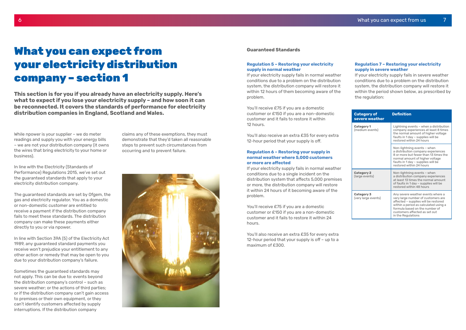While npower is your supplier - we do meter readings and supply you with your energy bills – we are not your distribution company (it owns the wires that bring electricity to your home or business).

In line with the Electricity (Standards of Performance) Regulations 2015, we've set out the guaranteed standards that apply to your electricity distribution company.

The guaranteed standards are set by Ofgem, the gas and electricity regulator. You as a domestic or non-domestic customer are entitled to receive a payment if the distribution company fails to meet these standards. The distribution company can make these payments either directly to you or via npower.

In line with Section 39A (5) of the Electricity Act 1989, any guaranteed standard payments you receive won't prejudice your entitlement to any other action or remedy that may be open to you due to your distribution company's failure.

Sometimes the guaranteed standards may not apply. This can be due to: events beyond the distribution company's control – such as severe weather; or the actions of third parties; or if the distribution company can't gain access to premises or their own equipment, or they can't identify customers affected by supply interruptions. If the distribution company

claims any of these exemptions, they must demonstrate that they'd taken all reasonable steps to prevent such circumstances from occurring and to prevent failure.



## What you can expect from **Guaranteed Standards** your electricity distribution company – section 1

**This section is for you if you already have an electricity supply. Here's what to expect if you lose your electricity supply – and how soon it can be reconnected. It covers the standards of performance for electricity distribution companies in England, Scotland and Wales.** 

#### **Regulation 5 – Restoring your electricity supply in normal weather**

If your electricity supply fails in normal weather conditions due to a problem on the distribution system, the distribution company will restore it within 12 hours of them becoming aware of the problem.

You'll receive £75 if you are a domestic customer or £150 if you are a non-domestic customer and it fails to restore it within 12 hours.

You'll also receive an extra £35 for every extra 12-hour period that your supply is off.

#### **Regulation 6 – Restoring your supply in normal weather where 5,000 customers or more are affected**

If your electricity supply fails in normal weather conditions due to a single incident on the distribution system that affects 5,000 premises or more, the distribution company will restore it within 24 hours of it becoming aware of the problem.

You'll receive £75 if you are a domestic customer or £150 if you are a non-domestic customer and it fails to restore it within 24 hours.

You'll also receive an extra £35 for every extra 12-hour period that your supply is off – up to a maximum of £300.

#### **Regulation 7 – Restoring your electricity supply in severe weather**

If your electricity supply fails in severe weather conditions due to a problem on the distribution system, the distribution company will restore it within the period shown below, as prescribed by the regulation:

| <b>Category of</b><br>severe weather | <b>Definition</b>                                                                                                                                                                                                                                 |
|--------------------------------------|---------------------------------------------------------------------------------------------------------------------------------------------------------------------------------------------------------------------------------------------------|
| <b>Category 1</b><br>(medium events) | Lightning events – when a distribution<br>company experiences at least 8 times<br>the normal amount of higher voltage<br>faults in 1 day - supplies will be<br>restored within 24 hours                                                           |
|                                      | Non-lightning events - when<br>a distribution company experiences<br>8 or more but fewer than 13 times the<br>normal amount of higher voltage<br>faults in 1 day - supplies will be<br>restored within 24 hours                                   |
| <b>Category 2</b><br>(large events)  | Non-lightning events - when<br>a distribution company experiences<br>at least 13 times the normal amount<br>of faults in 1 day - supplies will be<br>restored within 48 hours                                                                     |
| Category 3<br>(very large events)    | Any severe weather events where a<br>very large number of customers are<br>affected - supplies will be restored<br>within a period as calculated using a<br>formula based on the number of<br>customers affected as set out<br>in the Regulations |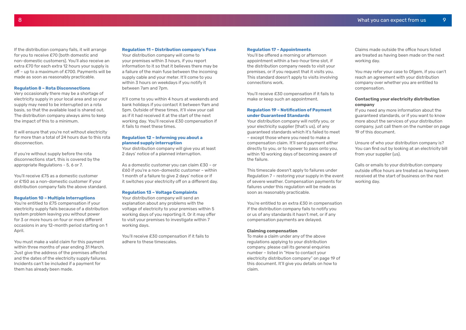If the distribution company fails, it will arrange for you to receive £70 (both domestic and non-domestic customers). You'll also receive an extra £70 for each extra 12 hours your supply is off – up to a maximum of £700. Payments will be made as soon as reasonably practicable.

#### **Regulation 8 – Rota Disconnections**

Very occasionally there may be a shortage of electricity supply in your local area and so your supply may need to be interrupted on a rota basis, so that the available load is shared out. The distribution company always aims to keep the impact of this to a minimum.

It will ensure that you're not without electricity for more than a total of 24 hours due to this rota disconnection.

If you're without supply before the rota disconnections start, this is covered by the appropriate Regulations - 5, 6 or 7.

You'll receive £75 as a domestic customer or £150 as a non-domestic customer if your distribution company fails the above standard.

#### **Regulation 10 – Multiple Interruptions**

You're entitled to £75 compensation if your electricity supply fails because of a distribution system problem leaving you without power for 3 or more hours on four or more different occasions in any 12-month period starting on 1 April.

You must make a valid claim for this payment within three months of year ending 31 March. Just give the address of the premises affected and the dates of the electricity supply failures. Incidents can't be included if a payment for them has already been made.

#### **Regulation 11 – Distribution company's Fuse**

Your distribution company will come to your premises within 3 hours, if you report information to it so that it believes there may be a failure of the main fuse between the incoming supply cable and your meter. It'll come to you within 3 hours on weekdays if you notify it between 7am and 7pm.

It'll come to you within 4 hours at weekends and bank holidays if you contact it between 9am and 5pm. Outside of these times, it'll view your call as if it had received it at the start of the next working day. You'll receive £30 compensation if it fails to meet these times.

#### **Regulation 12 – Informing you about a planned supply interruption**

Your distribution company will give you at least 2 days' notice of a planned interruption.

You may refer your case to Ofgem, if you can't reach an agreement with your distribution company over whether you are entitled to compensation.

As a domestic customer you can claim £30 – or £60 if you're a non-domestic customer – within 1 month of a failure to give 2 days' notice or if it switches your electricity off on a different day.

#### **Regulation 13 – Voltage Complaints**

Your distribution company will send an explanation about any problems with the voltage of electricity to your premises within 5 working days of you reporting it. Or it may offer to visit your premises to investigate within 7 working days.

You'll receive £30 compensation if it fails to adhere to these timescales.

#### **Regulation 17 – Appointments**

You'll be offered a morning or afternoon appointment within a two-hour time slot, if the distribution company needs to visit your premises, or if you request that it visits you. This standard doesn't apply to visits involving connections work.

You'll receive £30 compensation if it fails to make or keep such an appointment.

#### **Regulation 19 – Notification of Payment under Guaranteed Standards**

Your distribution company will notify you, or your electricity supplier (that's us), of any guaranteed standards which it's failed to meet – except those where you need to make a compensation claim. It'll send payment either directly to you, or to npower to pass onto you, within 10 working days of becoming aware of the failure.

This timescale doesn't apply to failures under Regulation 7 – restoring your supply in the event of severe weather. Compensation payments for failures under this regulation will be made as soon as reasonably practicable.

You're entitled to an extra £30 in compensation if the distribution company fails to notify you or us of any standards it hasn't met, or if any compensation payments are delayed.

#### **Claiming compensation**

To make a claim under any of the above regulations applying to your distribution company, please call its general enquiries number – listed in "How to contact your electricity distribution company" on page 19 of this document. It'll give you details on how to claim.

Claims made outside the office hours listed are treated as having been made on the next working day.

#### **Contacting your electricity distribution company**

If you need any more information about the guaranteed standards, or if you want to know more about the services of your distribution company, just call them on the number on page 19 of this document.

Unsure of who your distribution company is? You can find out by looking at an electricity bill from your supplier (us).

Calls or emails to your distribution company outside office hours are treated as having been received at the start of business on the next working day.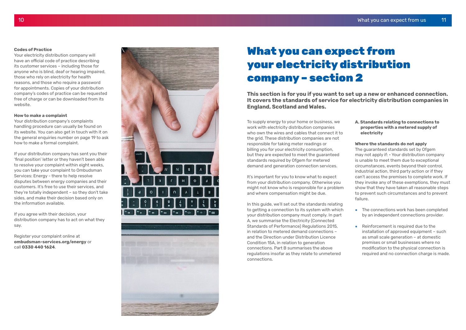#### **Codes of Practice**

Your electricity distribution company will have an official code of practice describing its customer services – including those for anyone who is blind, deaf or hearing impaired, those who rely on electricity for health reasons, and those who require a password for appointments. Copies of your distribution company's codes of practice can be requested free of charge or can be downloaded from its website.

#### **How to make a complaint**

Your distribution company's complaints handling procedure can usually be found on its website. You can also get in touch with it on the general enquiries number on page 19 to ask how to make a formal complaint.

If your distribution company has sent you their 'final position' letter or they haven't been able to resolve your complaint within eight weeks, you can take your complaint to Ombudsman Services: Energy - there to help resolve disputes between energy companies and their customers. It's free to use their services, and they're totally independent – so they don't take sides, and make their decision based only on the information available.

If you agree with their decision, your distribution company has to act on what they say.

Register your complaint online at **ombudsman-services.org/energy** or call **0330 440 1624** .



The guaranteed standards set by Ofgem may not apply if: • Your distribution company is unable to meet them due to exceptional circumstances, events beyond their control, industrial action, third party action or if they can't access the premises to complete work. If they invoke any of these exemptions, they must show that they have taken all reasonable steps to prevent such circumstances and to prevent failure.

To supply energy to your home or business, we work with electricity distribution companies who own the wires and cables that connect it to the grid. These distribution companies are not responsible for taking meter readings or billing you for your electricity consumption, but they are expected to meet the guaranteed standards required by Ofgem for metered demand and generation connection services.

- The connections work has been completed by an independent connections provider.
- Reinforcement is required due to the installation of approved equipment – such as small scale generation – at domestic premises or small businesses where no modification to the physical connection is required and no connection charge is made.

It's important for you to know what to expect from your distribution company. Otherwise you might not know who is responsible for a problem and where compensation might be due.

In this guide, we'll set out the standards relating to getting a connection to its system with which your distribution company must comply. In part A, we summarise the Electricity (Connected Standards of Performance) Regulations 2015, in relation to metered demand connections – and the Direction under Distribution Licence Condition 15A, in relation to generation connections. Part B summarises the above regulations insofar as they relate to unmetered connections.

#### **A. Standards relating to connections to properties with a metered supply of electricity**

#### **Where the standards do not apply**

# What you can expect from your electricity distribution company – section 2

**This section is for you if you want to set up a new or enhanced connection. It covers the standards of service for electricity distribution companies in England, Scotland and Wales.**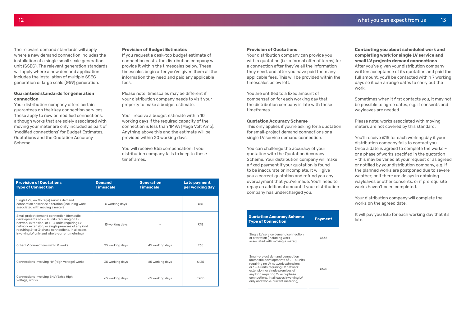The relevant demand standards will apply where a new demand connection includes the installation of a single small scale generation unit (SSEG). The relevant generation standards will apply where a new demand application includes the installation of multiple SSEG generation or large scale (G59) generation.

#### **Guaranteed standards for generation connection**

Your distribution company offers certain guarantees on their key connection services. These apply to new or modified connections, although works that are solely associated with moving your meter are only included as part of 'modified connections' for Budget Estimates, Quotations and the Quotation Accuracy Scheme.

#### **Provision of Budget Estimates**

If you request a desk-top budget estimate of connection costs, the distribution company will provide it within the timescales below. These timescales begin after you've given them all the information they need and paid any applicable fees.

Please note: timescales may be different if your distribution company needs to visit your property to make a budget estimate.

You'll receive a budget estimate within 10 working days if the required capacity of the connection is less than 1MVA (Mega Volt Amp). Anything above this and the estimate will be provided within 20 working days.

You will receive £65 compensation if your distribution company fails to keep to these timeframes.

#### **Provision of Quotations**

Your distribution company can provide you with a quotation (i.e. a formal offer of terms) for a connection after they've all the information they need, and after you have paid them any applicable fees. This will be provided within the timescales below left.

You are entitled to a fixed amount of compensation for each working day that the distribution company is late with these timeframes.

#### **Quotation Accuracy Scheme**

This only applies if you're asking for a quotation for small-project demand connections or a single LV service demand connection.

You can challenge the accuracy of your quotation with the Quotation Accuracy Scheme. Your distribution company will make a fixed payment if your quotation is found to be inaccurate or incomplete. It will give you a correct quotation and refund you any overpayment that you've made. You'll need to repay an additional amount if your distribution company has undercharged you.

**Contacting you about scheduled work and completing work for single LV service and small LV projects demand connections** After you've given your distribution company written acceptance of its quotation and paid the full amount, you'll be contacted within 7 working days so it can arrange dates to carry out the work.

Sometimes when it first contacts you, it may not be possible to agree dates, e.g. if consents and wayleaves are needed.

Please note: works associated with moving meters are not covered by this standard.

You'll receive £15 for each working day if your distribution company fails to contact you. Once a date is agreed to complete the works – or a phase of works specified in the quotation – this may be varied at your request or as agreed or notified by your distribution company, e.g. if the planned works are postponed due to severe weather; or if there are delays in obtaining wayleaves or other consents, or if prerequisite works haven't been completed.

Your distribution company will complete the works on the agreed date.

It will pay you £35 for each working day that it's late.

| <b>Provision of Quotations</b><br><b>Type of Connection</b>                                                                                                                                                                                                                                           | <b>Demand</b><br><b>Timescale</b> | <b>Generation</b><br><b>Timescale</b> | <b>Late payment</b><br>per working day |
|-------------------------------------------------------------------------------------------------------------------------------------------------------------------------------------------------------------------------------------------------------------------------------------------------------|-----------------------------------|---------------------------------------|----------------------------------------|
| Single LV (Low Voltage) service demand<br>connection or service alteration (including work<br>associated with moving a meter)                                                                                                                                                                         | 5 working days                    |                                       | £15                                    |
| Small project demand connection (domestic<br>developments of 2 - 4 units requiring no LV<br>network extension; or 1 - 4 units requiring LV<br>network extension; or single premises of any kind<br>requiring 2- or 3-phase connections, in all cases<br>involving LV only and whole-current metering) | 15 working days                   |                                       | £15                                    |
| Other LV connections with LV works                                                                                                                                                                                                                                                                    | 25 working days                   | 45 working days                       | £65                                    |
| Connections involving HV (High Voltage) works                                                                                                                                                                                                                                                         | 35 working days                   | 65 working days                       | £135                                   |
| Connections involving EHV (Extra High<br>Voltage) works                                                                                                                                                                                                                                               | 65 working days                   | 65 working days                       | £200                                   |

| <b>Quotation Accuracy Scheme</b><br><b>Type of Connection</b>                                                                                                                                                                                                                                               | <b>Payment</b> |
|-------------------------------------------------------------------------------------------------------------------------------------------------------------------------------------------------------------------------------------------------------------------------------------------------------------|----------------|
| Single LV service demand connection<br>or alteration (including work<br>associated with moving a meter)                                                                                                                                                                                                     | £335           |
| Small-project demand connection<br>(domestic developments of 2 - 4 units<br>requiring no LV network extension;<br>or 1 - 4 units requiring LV network<br>extension; or single premises of<br>any kind requiring 2- or 3-phase<br>connections, in all cases involving LV<br>only and whole-current metering) | £670           |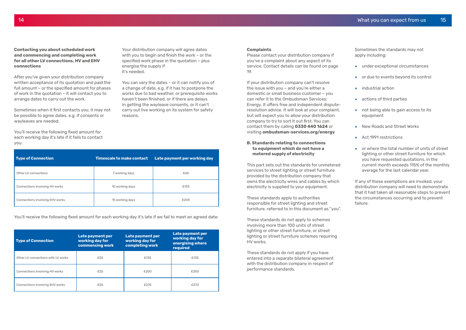**Contacting you about scheduled work and commencing and completing work for all other LV connections, HV and EHV connections**

After you've given your distribution company written acceptance of its quotation and paid the full amount – or the specified amount for phases of work in the quotation – it will contact you to arrange dates to carry out the work.

Sometimes when it first contacts you, it may not be possible to agree dates, e.g. if consents or wayleaves are needed.

You'll receive the following fixed amount for each working day it's late if it fails to contact you:

Your distribution company will agree dates with you to begin and finish the work – or the specified work phase in the quotation – plus energise the supply if it's needed.

You can vary the dates – or it can notify you of a change of date, e.g. if it has to postpone the works due to bad weather, or prerequisite works haven't been finished, or if there are delays in getting the wayleave consents, or it can't carry out live working on its system for safety reasons.

#### **Complaints**

Please contact your distribution company if you've a complaint about any aspect of its service. Contact details can be found on page 19.

If your distribution company can't resolve the issue with you – and you're either a domestic or small business customer – you can refer it to the Ombudsman Services: Energy. It offers free and independent disputeresolution advice. It will look at your complaint, but will expect you to allow your distribution company to try to sort it out first. You can contact them by calling **0330 440 1624** or visiting **ombudsman-services.org/energy**

- under exceptional circumstances
- or due to events beyond its control
- industrial action
- actions of third parties
- not being able to gain access to its equipment
- New Roads and Street Works
- Act 1991 restrictions
- $\bullet$  or where the total number of units of street lighting or other street furniture for which you have requested quotations, in the current month exceeds 115% of the monthly average for the last calendar year.

#### **B. Standards relating to connections to equipment which do not have a metered supply of electricity**

This part sets out the standards for unmetered services to street lighting or street furniture provided by the distribution company that owns the electricity wires and cables by which electricity is supplied to your equipment.

These standards apply to authorities responsible for street lighting and street furniture, referred to in this document as "you".

These standards do not apply to schemes involving more than 100 units of street lighting or other street furniture, or street lighting or street furniture schemes requiring HV works.

These standards do not apply if you have entered into a separate bilateral agreement with the distribution company in respect of performance standards.

Sometimes the standards may not apply including:

If any of these exemptions are invoked, your distribution company will need to demonstrate that it had taken all reasonable steps to prevent the circumstances occurring and to prevent failure.

You'll receive the following fixed amount for each working day it's late if we fail to meet an agreed date:

| <b>Type of Connection</b>       | <b>Timescale to make contact</b> | Late payment per working day |
|---------------------------------|----------------------------------|------------------------------|
| Other LV connections            | 7 working days                   | £65                          |
| Connections involving HV works  | 10 working days                  | £135                         |
| Connections involving EHV works | 15 working days                  | £200                         |

| <b>Type of Connection</b>          | Late payment per<br>working day for<br>commencing work | Late payment per<br>working day for<br>completing work | Late payment per<br>working day for<br>energising where<br>required |
|------------------------------------|--------------------------------------------------------|--------------------------------------------------------|---------------------------------------------------------------------|
| Other LV connections with LV works | £25                                                    | £135                                                   | £135                                                                |
| Connections involving HV works     | £25                                                    | £200                                                   | £200                                                                |
| Connections involving EHV works    | £25                                                    | £270                                                   | £270                                                                |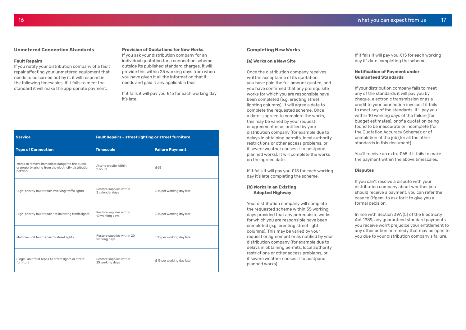#### **Unmetered Connection Standards**

#### **Fault Repairs**

If you notify your distribution company of a fault repair affecting your unmetered equipment that needs to be carried out by it, it will respond in the following timescales. If it fails to meet the standard it will make the appropriate payment.

#### **Provision of Quotations for New Works**

If it fails it will pay you £15 for each working day it's late.

If you ask your distribution company for an individual quotation for a connection scheme outside its published standard charges, it will provide this within 25 working days from when you have given it all the information that it needs and paid it any applicable fees.

#### **Completing New Works**

#### **(a) Works on a New Site**

Once the distribution company receives written acceptance of its quotation, you have paid the full amount quoted, and you have confirmed that any prerequisite works for which you are responsible have been completed (e.g. erecting street lighting columns), it will agree a date to complete the requested scheme. Once a date is agreed to complete the works, this may be varied by your request or agreement or as notified by your distribution company (for example due to delays in obtaining permits, local authority restrictions or other access problems, or if severe weather causes it to postpone planned works). It will complete the works on the agreed date.

If it fails it will pay you £15 for each working day it's late completing the scheme.

#### **(b) Works in an Existing Adopted Highway**

Your distribution company will complete the requested scheme within 35 working days provided that any prerequisite works for which you are responsible have been completed (e.g. erecting street light columns). This may be varied by your request or agreement or as notified by your distribution company (for example due to delays in obtaining permits, local authority restrictions or other access problems, or if severe weather causes it to postpone planned works).

If it fails it will pay you £15 for each working day it's late completing the scheme.

#### **Notification of Payment under Guaranteed Standards**

If your distribution company fails to meet any of the standards it will pay you by cheque, electronic transmission or as a credit to your connection invoice if it fails to meet any of the standards. It'll pay you within 10 working days of the failure (for budget estimates); or of a quotation being found to be inaccurate or incomplete (for the Quotation Accuracy Scheme); or of completion of the job (for all the other standards in this document).

You'll receive an extra £65 if it fails to make the payment within the above timescales.

#### **Disputes**

If you can't resolve a dispute with your distribution company about whether you should receive a payment, you can refer the case to Ofgem, to ask for it to give you a formal decision.

In line with Section 39A (5) of the Electricity Act 1989, any guaranteed standard payments you receive won't prejudice your entitlement to any other action or remedy that may be open to you due to your distribution company's failure.

| <b>Service</b>                                                                                                     | <b>Fault Repairs - street lighting or street furniture</b> |                          |  |
|--------------------------------------------------------------------------------------------------------------------|------------------------------------------------------------|--------------------------|--|
| <b>Type of Connection</b>                                                                                          | <b>Timescale</b>                                           | <b>Failure Payment</b>   |  |
| Works to remove immediate danger to the public<br>or property arising from the electricity distribution<br>network | Attend on site within<br>2 hours                           | £65                      |  |
| High-priority fault repair involving traffic lights                                                                | Restore supplies within<br>2 calendar days                 | £15 per working day late |  |
| High-priority fault repair not involving traffic lights                                                            | Restore supplies within<br>10 working days                 | £15 per working day late |  |
| Multiple-unit fault repair to street lights                                                                        | Restore supplies within 20<br>working days                 | £15 per working day late |  |
| Single-unit fault repair to street lights or street<br>furniture                                                   | Restore supplies within<br>25 working days                 | £15 per working day late |  |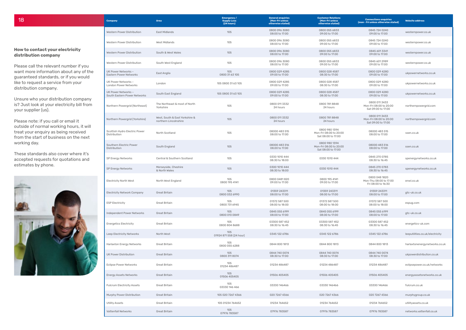#### **How to contact your electricity distribution company**

Please call the relevant number if you want more information about any of the guaranteed standards, or if you would like to request a service from your distribution company.

Unsure who your distribution company is? Just look at your electricity bill from your supplier (us).

Please note: if you call or email it outside of normal working hours, it will treat your enquiry as being received from the start of business on the next working day.

These standards also cover where it's accepted requests for quotations and estimates by phone.



#### **Connections enquiries (mon - Fri unless otherwise stated) Website address**

| 18                                                                                                                    | <b>Company</b>                                       | Area                                                    | <b>Emergency/</b><br><b>Supply Loss</b><br>(24 hours) | <b>General enquiries</b><br>(Mon-Fri unless<br>otherwise stated) | <b>Customer Relations</b><br>(Mon-Fri unless<br>otherwise stated) | <b>Connections enquiries</b><br>(mon - Fri unless otherwise stated) | <b>Website address</b>          |
|-----------------------------------------------------------------------------------------------------------------------|------------------------------------------------------|---------------------------------------------------------|-------------------------------------------------------|------------------------------------------------------------------|-------------------------------------------------------------------|---------------------------------------------------------------------|---------------------------------|
|                                                                                                                       | Western Power Distribution                           | East Midlands                                           | 105                                                   | 0800 096 3080<br>08:00 to 17:00                                  | 0800 055 6833<br>09:00 to 17:00                                   | 0845 724 0240<br>09:00 to 17:00                                     | westernpower.co.uk              |
|                                                                                                                       | Western Power Distribution                           | West Midlands                                           | 105                                                   | 0800 096 3080<br>08:00 to 17:00                                  | 0800 055 6833<br>09:00 to 17:00                                   | 0845 724 0240<br>09:00 to 17:00                                     | westernpower.co.uk              |
| ow to contact your electricity<br>stribution company                                                                  | Western Power Distribution                           | South & West Wales                                      | 105                                                   | 0800 096 3080<br>08:00 to 17:00                                  | 0800 055 6833<br>09:00 to 17:00                                   | 0845 601 3341<br>09:00 to 17:00                                     | westernpower.co.uk              |
| ease call the relevant number if you                                                                                  | Western Power Distribution                           | South West England                                      | 105                                                   | 0800 096 3080<br>08:00 to 17:00                                  | 0800 055 6833<br>09:00 to 17:00                                   | 0845 601 2989<br>09:00 to 17:00                                     | westernpower.co.uk              |
| ant more information about any of the<br>aranteed standards, or if you would                                          | UK Power Networks -<br><b>Eastern Power Networks</b> | East Anglia                                             | 105<br>0800 31 63 105                                 | 0800 029 4285<br>09:00 to 17:00                                  | 0800 028 4587<br>08:30 to 17:00                                   | 0800 029 4280<br>09:00 to 17:00                                     | ukpowernetworks.co.uk           |
| e to request a service from your                                                                                      | UK Power Networks -<br>London Power Networks         | London                                                  | 105 0800 31 63 105                                    | 0800 029 4285<br>09:00 to 17:00                                  | 0800 028 4587<br>08:30 to 17:00                                   | 0800 029 4280<br>09:00 to 17:00                                     | ukpowernetworks.co.uk           |
| stribution company.                                                                                                   | UK Power Networks -<br>South Eastern Power Networks  | South East England                                      | 105 0800 31 63 105                                    | 0800 029 4285<br>09:00 to 17:00                                  | 0800 028 4587<br>08:30 to 17:00                                   | 0800 029 4280<br>09:00 to 17:00                                     | ukpowernetworks.co.uk           |
| isure who your distribution company<br>Just look at your electricity bill from<br>ur supplier (us).                   | Northern Powergrid (Northeast)                       | The Northeast & most of North<br>Yorkshire              | 105                                                   | 0800 011 3332<br>24 hours                                        | 0800 781 8848<br>24 hours                                         | 0800 011 3433<br>Mon-Fri 08:00 to 20:00<br>Sat 09:00 to 17:00       | northernpowergrid.com           |
| ease note: if you call or email it                                                                                    | Northern Powergrid (Yorkshire)                       | West, South & East Yorkshire &<br>northern Lincolnshire | 105                                                   | 0800 011 3332<br>24 hours                                        | 0800 781 8848<br>24 hours                                         | 0800 011 3433<br>Mon-Fri 08:00 to 20:00<br>Sat 09:00 to 17:00       | northernpowergrid.com           |
| Itside of normal working hours, it will<br>eat your enquiry as being received<br>om the start of business on the next | Scottish Hydro Electric Power<br>Distribution        | North Scotland                                          | 105                                                   | 08000 483 515<br>08:00 to 17:00                                  | 0800 980 1394<br>Mon-Fri 08:00 to 20:00<br>Sat 08:00 to 17:00     | 08000 483 515<br>08:00 to 17:00                                     | ssen.co.uk                      |
| orking day.                                                                                                           | Southern Electric Power<br><b>Distribution</b>       | South England                                           | 105                                                   | 08000 483 516<br>08.00 to 17.00                                  | 0800 980 1394<br>Mon-Fri 08:00 to 20:00<br>Sat 08:00 to 17:00     | 08000 483 516<br>08:00 to 17:00                                     | ssen.co.uk                      |
| iese standards also cover where it's<br>cepted requests for quotations and                                            | SP Energy Networks                                   | Central & Southern Scotland                             | 105                                                   | 0330 1010 444<br>08:30 to 18:00                                  | 0330 1010 444                                                     | 0845 270 0785<br>08:30 to 16:45                                     | spenergynetworks.co.uk          |
| timates by phone.                                                                                                     | SP Energy Networks                                   | Merseyside, Cheshire<br>& North Wales                   | 105                                                   | 0300 1010 444<br>08:30 to 18:00                                  | 0330 1010 444                                                     | 0845 270 0783<br>08:30 to 16:45                                     | spenergynetworks.co.uk          |
| an a                                                                                                                  | <b>Electricity North West</b>                        | North West England                                      | 105<br>0800 195 4141                                  | 0800 0481 820<br>09:00 to 17:00                                  | 0800 195 4141<br>09:00 to 17:00                                   | 0800 048 1820<br>Mon-Thu 08:00 to 17:00<br>Fri 08:00 to 16:30       | enwl.co.uk                      |
|                                                                                                                       | <b>Electricity Network Company</b>                   | Great Britain                                           | 105<br>0800 032 6990                                  | 01359 243311<br>08:00 to 17:00                                   | 01359 243311<br>08:00 to 17:00                                    | 01359 243311<br>08:00 to 17:00                                      | gtc-uk.co.uk                    |
|                                                                                                                       | <b>ESP Electricity</b>                               | Great Britain                                           | 105<br>0800 731 6945                                  | 01372 587 500<br>08:00 to 18:00                                  | 01372 587 500<br>08:00 to 18:00                                   | 01372 587 500<br>08:00 to 18:00                                     | espug.com                       |
|                                                                                                                       | Independent Power Networks                           | <b>Great Britain</b>                                    | 105<br>0800 013 0849                                  | 0845 055 6199<br>08:00 to 17:00                                  | 0845 055 6199<br>08:00 to 17:00                                   | 0845 055 6199<br>08:00 to 17:00                                     | gtc-uk.co.uk                    |
|                                                                                                                       | <b>Energetics Electricity</b>                        | Great Britain                                           | 105<br>0800 804 8688                                  | 03300 587 452<br>08:30 to 16:45                                  | 03300 587 452<br>08:30 to 16:45                                   | 03300 587 452<br>08:30 to 16:45                                     | energetics-uk.com               |
|                                                                                                                       | Leep Electricity Networks                            | North West                                              | 105<br>01924 871 558 (24 hour)                        | 0345 122 6786                                                    | 0345 122 6786                                                     | 0345 122 6786                                                       | leeputilities.co.uk/electricity |
|                                                                                                                       | Harlaxton Energy Networks                            | Great Britain                                           | 105<br>0800 055 6288                                  | 0844 800 1813                                                    | 0844 800 1813                                                     | 0844 800 1813                                                       | harlaxtonenergynetworks.co.uk   |
|                                                                                                                       | <b>UK Power Distribution</b>                         | Great Britain                                           | 105<br>0800 311 8074                                  | 0844 740 0074<br>08:30 to 17:00                                  | 0844 740 0074<br>08:30 to 17:00                                   | 0844 740 0074<br>08:30 to 17:00                                     | ukpowerdistribution.co.uk       |
|                                                                                                                       | Eclipse Power Networks                               | Great Britain                                           | 105<br>01234 486487                                   | 01234 486487                                                     | 01234 486487                                                      | 01234 486487                                                        | eclipsepower.co.uk/networks     |
|                                                                                                                       | Energy Assets Networks                               | <b>Great Britain</b>                                    | 105<br>01506 405405                                   | 01506 405405                                                     | 01506 405405                                                      | 01506 405405                                                        | energyassetsnetworks.co.uk      |
|                                                                                                                       | <b>Fulcrum Electricity Assets</b>                    | Great Britain                                           | 105<br>03330 146 466                                  | 03330 146466                                                     | 03330 146466                                                      | 03330 146466                                                        | fulcrum.co.uk                   |
|                                                                                                                       | Murphy Power Distribution                            | <b>Great Britain</b>                                    | 105 020 7267 4366                                     | 020 7267 4366                                                    | 020 7267 4366                                                     | 020 7267 4366                                                       | murphygroup.co.uk               |
|                                                                                                                       | <b>Utility Assets</b>                                | Great Britain                                           | 105 01234 764652                                      | 01234 764 652                                                    | 01234 764652                                                      | 01234 764652                                                        | utilityassets.co.uk             |
|                                                                                                                       | Vattenfall Networks                                  | Great Britain                                           | 105<br>07976 783587                                   | 07976 783587                                                     | 07976 783587                                                      | 07976 783587                                                        | networks.vattenfall.co.uk       |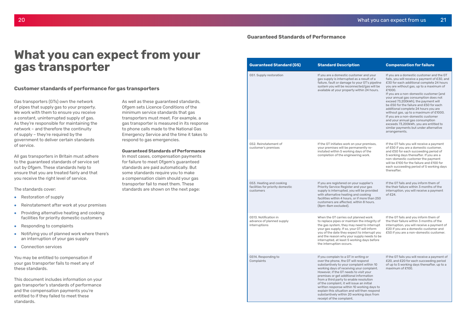Gas transporters (GTs) own the network of pipes that supply gas to your property. We work with them to ensure you receive a constant, uninterrupted supply of gas. As they're responsible for maintaining the network – and therefore the continuity of supply – they're required by the government to deliver certain standards of service.

All gas transporters in Britain must adhere to the guaranteed standards of service set out by Ofgem. These standards help to ensure that you are treated fairly and that you receive the right level of service.

The standards cover:

- Restoration of supply
- Reinstatement after work at your premises
- Providing alternative heating and cooking facilities for priority domestic customers
- Responding to complaints
- Notifying you of planned work where there's an interruption of your gas supply
- Connection services

You may be entitled to compensation if your gas transporter fails to meet any of these standards.

This document includes information on your gas transporter's standards of performance and the compensation payments you're entitled to if they failed to meet these standards.

As well as these guaranteed standards, Ofgem sets Licence Conditions of the minimum service standards that gas transporters must meet. For example, a gas transporter is measured in its response to phone calls made to the National Gas Emergency Service and the time it takes to respond to gas emergencies.

#### **Guaranteed Standards of Performance**

In most cases, compensation payments for failure to meet Ofgem's guaranteed standards are paid automatically. But some standards require you to make a compensation claim should your gas transporter fail to meet them. These standards are shown on the next page:

## **What you can expect from your gas transporter**

#### **Customer standards of performance for gas transporters**

#### **Guaranteed Standards of Performance**

| <b>Guaranteed Standard (GS)</b>                                           | <b>Standard Description</b>                                                                                                                                                                                                                                                                                                                                                                                                                                                                                                 | <b>Compensation for failure</b>                                                                                                                                                                                                                                                                                                                                                                                                                                                                                                                     |
|---------------------------------------------------------------------------|-----------------------------------------------------------------------------------------------------------------------------------------------------------------------------------------------------------------------------------------------------------------------------------------------------------------------------------------------------------------------------------------------------------------------------------------------------------------------------------------------------------------------------|-----------------------------------------------------------------------------------------------------------------------------------------------------------------------------------------------------------------------------------------------------------------------------------------------------------------------------------------------------------------------------------------------------------------------------------------------------------------------------------------------------------------------------------------------------|
| GS1. Supply restoration                                                   | If you are a domestic customer and your<br>gas supply is interrupted as a result of a<br>failure, fault or damage to your GT's pipeline<br>system you will be reconnected/gas will be<br>available at your property within 24 hours.                                                                                                                                                                                                                                                                                        | If you are a domestic customer are<br>fails, you will receive a payment o<br>£30 for each additional complete<br>you are without gas, up to a maxi<br>£1000.<br>If you are a non-domestic custom<br>your annual gas consumption doe<br>exceed 73,200kWh), the payment<br>be £50 for the failure and £50 for<br>additional complete 24 hours you<br>without gas, up to a maximum of<br>If you are a non-domestic custom<br>and your annual gas consumptior<br>exceeds 73,200kWh, you are entit<br>similar payments but under alterr<br>arrangements. |
| GS2. Reinstatement of<br>customer's premises                              | If the GT initiates work on your premises,<br>your premises will be permanently re-<br>instated within 5 working days of the<br>completion of the engineering work.                                                                                                                                                                                                                                                                                                                                                         | If the GT fails you will receive a pa<br>of £50 if you are a domestic cust<br>and £50 for each succeeding per<br>5 working days thereafter. If you a<br>non-domestic customer the payn<br>will be £100 for the failure and £1<br>each succeeding period of 5 work<br>thereafter.                                                                                                                                                                                                                                                                    |
| GS3. Heating and cooking<br>facilities for priority domestic<br>customers | If you are registered on your supplier's<br>Priority Service Register and your gas<br>supply is interrupted, you will be provided<br>with alternative heating and cooking<br>facilities within 4 hours, or if more than 250<br>customers are affected, within 8 hours.<br>(8pm-8am excluded).                                                                                                                                                                                                                               | If the GT fails and you inform ther<br>the their failure within 3 months<br>interruption, you will receive a pa<br>of $£24$ .                                                                                                                                                                                                                                                                                                                                                                                                                       |
| GS13. Notification in<br>advance of planned supply<br>interruptions       | When the GT carries out planned work<br>to replace pipes or maintain the integrity of<br>the gas system, they may need to interrupt<br>your gas supply, If so, your GT will inform<br>you of the date they expect to interrupt you<br>and the reason why your supply needs to be<br>interrupted, at least 5 working days before<br>the interruption occurs.                                                                                                                                                                 | If the GT fails and you inform ther<br>the their failure within 3 months<br>interruption, you will receive a pa<br>£20 if you are a domestic custom<br>£50 if you are a non-domestic cu                                                                                                                                                                                                                                                                                                                                                             |
| GS14. Responding to<br>Complaints                                         | If you complain to a GT in writing or<br>over the phone, the GT will respond<br>substantively to your complaint within 10<br>working days of receiving your complaint.<br>However, if the GT needs to visit your<br>premises or get additional information<br>from a third party to enable resolution<br>of the complaint, it will issue an initial<br>written response within 10 working days to<br>explain this situation and will then respond<br>substantively within 20 working days from<br>receipt of the complaint. | If the GT fails you will receive a pa<br>£20, and £20 for each succeedin<br>of up to 5 working days thereafte<br>maximum of £100.                                                                                                                                                                                                                                                                                                                                                                                                                   |

| otion                                                                                                                                                                                                                                 | <b>Compensation for failure</b>                                                                                                                                                                                                                                                                                                                                                                                                                                                                                                                                                                                                   |
|---------------------------------------------------------------------------------------------------------------------------------------------------------------------------------------------------------------------------------------|-----------------------------------------------------------------------------------------------------------------------------------------------------------------------------------------------------------------------------------------------------------------------------------------------------------------------------------------------------------------------------------------------------------------------------------------------------------------------------------------------------------------------------------------------------------------------------------------------------------------------------------|
| ustomer and your<br>ed as a result of a<br>to your GT's pipeline<br>nnected/gas will be<br>rty within 24 hours.                                                                                                                       | If you are a domestic customer and the GT<br>fails, you will receive a payment of £30, and<br>£30 for each additional complete 24 hours<br>you are without gas, up to a maximum of<br>£1000.<br>If you are a non-domestic customer (and<br>your annual gas consumption does not<br>exceed 73,200kWh), the payment will<br>be £50 for the failure and £50 for each<br>additional complete 24 hours you are<br>without gas, up to a maximum of £1000.<br>If you are a non-domestic customer<br>and your annual gas consumption<br>exceeds 73,200kWh, you are entitled to<br>similar payments but under alternative<br>arrangements. |
| on your premises,<br>ermanently re-<br>ng days of the<br>neering work.                                                                                                                                                                | If the GT fails you will receive a payment<br>of £50 if you are a domestic customer,<br>and £50 for each succeeding period of<br>5 working days thereafter. If you are a<br>non-domestic customer the payment<br>will be £100 for the failure and £100 for<br>each succeeding period of 5 working days<br>thereafter.                                                                                                                                                                                                                                                                                                             |
| your supplier's<br>er and your gas<br>ou will be provided<br>g and cooking<br>s, or if more than 250<br>l, within 8 hours.                                                                                                            | If the GT fails and you inform them of<br>the their failure within 3 months of the<br>interruption, you will receive a payment<br>of $£24$ .                                                                                                                                                                                                                                                                                                                                                                                                                                                                                      |
| t planned work<br>ntain the integrity of<br>ay need to interrupt<br>our GT will inform<br>pect to interrupt you<br>ur supply needs to be<br>vorking days before<br>ŝ.                                                                 | If the GT fails and you inform them of<br>the their failure within 3 months of the<br>interruption, you will receive a payment of<br>£20 if you are a domestic customer and<br>£50 if you are a non-domestic customer.                                                                                                                                                                                                                                                                                                                                                                                                            |
| in writing or<br>will respond<br>omplaint within 10<br>ng your complaint.<br>ds to visit your<br>nal information<br>able resolution<br>issue an initial<br>n 10 working days to<br>nd will then respond<br>) working days from<br>ıt. | If the GT fails you will receive a payment of<br>£20, and £20 for each succeeding period<br>of up to 5 working days thereafter, up to a<br>maximum of £100.                                                                                                                                                                                                                                                                                                                                                                                                                                                                       |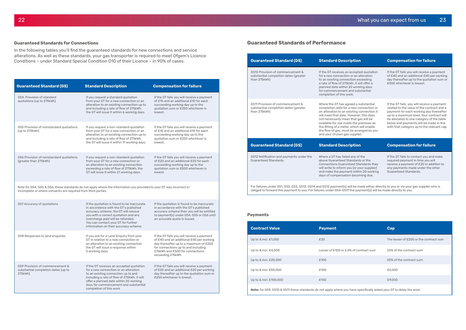#### **Guaranteed Standards for Connections**

In the following tables you'll find the guaranteed standards for new connections and service alterations. As well as these standards, your gas transporter is required to meet Ofgem's Licence Conditions – under Standard Special Condition D10 of their Licence – in 90% of cases.

#### **Payments**

### **Guaranteed Standards of Performance**

| <b>Guaranteed Standard (GS)</b>                                                   | <b>Standard Description</b>                                                                                                                                                                                                                                                              | <b>Compensation for failure</b>                                                                                                                                                                                                 |
|-----------------------------------------------------------------------------------|------------------------------------------------------------------------------------------------------------------------------------------------------------------------------------------------------------------------------------------------------------------------------------------|---------------------------------------------------------------------------------------------------------------------------------------------------------------------------------------------------------------------------------|
| GS4. Provision of standard<br>quotations (up to 275kWh)                           | If you request a standard quotation<br>from your GT for a new connection or an<br>alteration to an existing connection up to<br>and including a rate of flow of 275kWh,<br>the GT will issue it within 6 working days.                                                                   | If the GT fails you will receive a payment<br>of £10 and an additional £10 for each<br>succeeding working day up to the<br>quotation sum or £250 whichever is<br>lowest.                                                        |
| GS5 Provision of nonstandard quotations<br>(up to 275kWh)                         | If you request a non-standard quotation<br>from your GT for a new connection or an<br>alteration to an existing connection up to<br>and including a rate of flow of 275kWh,<br>the GT will issue it within 11 working days.                                                              | If the GT fails you will receive a payment<br>of £10 and an additional £10 for each<br>succeeding working day up to the<br>quotation sum or £250 whichever is<br>lowest.                                                        |
| GS6 Provision of nonstandard quotations<br>(greater than 275kWh)                  | If you request a non-standard quotation<br>from your GT for a new connection or<br>an alteration to an existing connection<br>exceeding a rate of flow of 275kWh, the<br>GT will issue it within 21 working days.                                                                        | If the GT fails you will receive a payment<br>of £20 and an additional £20 for each<br>succeeding working day up to the<br>quotation sum or £500 whichever is<br>lowest.                                                        |
| incomplete or where consents are required from third parties.                     | Note for GS4, GS5 & GS6: these standards do not apply where the information you provided to your GT was incorrect or                                                                                                                                                                     |                                                                                                                                                                                                                                 |
| GS7 Accuracy of quotations                                                        | If the quotation is found to be inaccurate<br>in accordance with the GT's published<br>accuracy scheme, the GT will reissue<br>you with a correct quotation and any<br>overcharge paid will be refunded.<br>You can contact your GT for further<br>information on their accuracy scheme. | If the quotation is found to be inaccurate<br>in accordance with the GT's published<br>accuracy scheme then you will be entitled<br>to payment(s) under GS4, GS5 or GS6 until<br>an accurate quote is issued.                   |
| GS8 Responses to land enquiries                                                   | If you ask for a Land Enquiry from your<br>GT in relation to a new connection or<br>an alteration to an existing connection<br>the GT will issue a response within<br>5 working days.                                                                                                    | If the GT fails you will receive a payment<br>of £40 and an additional £40 per working<br>day thereafter up to a maximum of £250<br>for connections up to and including<br>275kWh and £500 for connections<br>exceeding 275kWh. |
| GS9 Provision of commencement &<br>substantial completion dates (up to<br>275kWh) | If the GT receives an accepted quotation<br>for a new connection or an alteration<br>to an existing connection up to and<br>including a rate of flow of 275kWh, it will<br>offer a planned date within 20 working<br>days for commencement and substantial<br>completion of this work    | If the GT fails you will receive a payment<br>of £20 and an additional £20 per working<br>day thereafter up to the quotation sum or<br>£250 whichever is lowest.                                                                |

| <b>Guaranteed Standard (GS)</b>                                                                                                                                                                                                                          | <b>Standard Description</b>                                                                                                                                                                                                                                                                                                                                                              | <b>Compensation for failure</b>                                                                                                                                                                                                                                                                                         |
|----------------------------------------------------------------------------------------------------------------------------------------------------------------------------------------------------------------------------------------------------------|------------------------------------------------------------------------------------------------------------------------------------------------------------------------------------------------------------------------------------------------------------------------------------------------------------------------------------------------------------------------------------------|-------------------------------------------------------------------------------------------------------------------------------------------------------------------------------------------------------------------------------------------------------------------------------------------------------------------------|
| GS10 Provision of commencement &<br>substantial completion dates (greater<br>than 275kWh)                                                                                                                                                                | If the GT receives an accepted quotation<br>for a new connection or an alteration<br>to an existing connection exceeding<br>a rate of flow of 275kWh, it will offer a<br>planned date within 20 working days<br>for commencement and substantial<br>completion of this work.                                                                                                             | If the GT fails you will receive a payment<br>of £40 and an additional £40 per working<br>day thereafter up to the quotation sum or<br>£500 whichever is lowest.                                                                                                                                                        |
| GS11 Provision of commencement &<br>substantial completion dates (greater<br>than 275kWh)                                                                                                                                                                | Where the GT has agreed a substantial<br>completion date for a new connection or<br>an alteration to an existing connection it<br>will meet that date. However, this does<br>not necessarily mean that gas will be<br>available for use inside the premises as<br>the fitting of a meter, which will enable<br>the flow of gas, must be arranged by you<br>and your chosen gas supplier. | If the GT fails, you will receive a payment<br>related to the value of the contract and a<br>payment for each working day thereafter<br>up to a maximum level. Your contract will<br>be allocated to one category of the table<br>below and payments will be made in line<br>with that category up to the relevant cap. |
| <b>Guaranteed Standard (GS)</b>                                                                                                                                                                                                                          | <b>Standard Description</b>                                                                                                                                                                                                                                                                                                                                                              | <b>Compensation for failure</b>                                                                                                                                                                                                                                                                                         |
| GS12 Notification and payments under the<br>Guaranteed Standards.                                                                                                                                                                                        | Where a GT has failed any of the<br>above Guaranteed Standards or the<br><b>Connections Guaranteed Standards they</b><br>will write to inform you (or your supplier)<br>and make the payment within 20 working<br>days of compensation becoming due.                                                                                                                                     | If the GT fails to contact you and make<br>required payment in time you will<br>receive a payment of £20 in addition to<br>any payments made under the other<br>Guaranteed Standards.                                                                                                                                   |
| For failures under GS1, GS2, GS3, GS13, GS14 and GS12 payment(s) will be made either directly to you or via your gas supplier who is<br>obliged to forward this payment to you. For failures under GS4-GS11 the payment(s) will be made directly to you. |                                                                                                                                                                                                                                                                                                                                                                                          |                                                                                                                                                                                                                                                                                                                         |

| <b>Contract Value</b>                                                                                                       | <b>Payment</b>                         | Cap                                    |  |
|-----------------------------------------------------------------------------------------------------------------------------|----------------------------------------|----------------------------------------|--|
| Up to & incl. £1,000                                                                                                        | £20                                    | The lesser of £200 or the contract sum |  |
| Up to & incl. £4,000                                                                                                        | Lesser of £100 or 2.5% of contract sum | 25% of the contract sum                |  |
| Up to & incl. £20,000                                                                                                       | £100                                   | 25% of the contract sum                |  |
| Up to & incl. £50,000                                                                                                       | £100                                   | £5,000                                 |  |
| Up to & incl. £100,000                                                                                                      | £150                                   | £9,000                                 |  |
| <b>Note:</b> for GS9, GS10 & GS11 these standards do not apply where you have specifically asked your GT to delay the work. |                                        |                                        |  |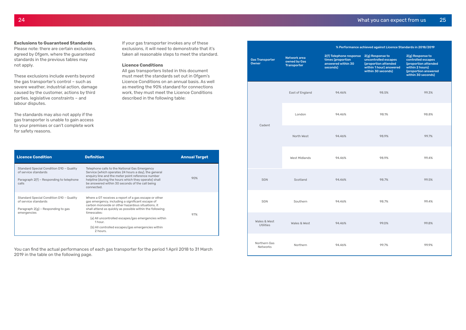#### **Exclusions to Guaranteed Standards**

Please note: there are certain exclusions, agreed by Ofgem, where the guaranteed standards in the previous tables may not apply.

These exclusions include events beyond the gas transporter's control – such as severe weather, industrial action, damage caused by the customer, actions by third parties, legislative constraints – and labour disputes.

The standards may also not apply if the gas transporter is unable to gain access to your premises or can't complete work for safety reasons.

If your gas transporter invokes any of these exclusions, it will need to demonstrate that it's taken all reasonable steps to meet the standard.

#### **Licence Conditions**

All gas transporters listed in this document must meet the standards set out in Ofgem's Licence Conditions on an annual basis. As well as meeting the 90% standard for connections work, they must meet the Licence Conditions described in the following table:

You can find the actual performances of each gas transporter for the period 1 April 2018 to 31 March 2019 in the table on the following page.

| <b>Licence Condition</b>                                                                                                | <b>Definition</b>                                                                                                                                                                                                                                                                                                                                                            | <b>Annual Target</b> |
|-------------------------------------------------------------------------------------------------------------------------|------------------------------------------------------------------------------------------------------------------------------------------------------------------------------------------------------------------------------------------------------------------------------------------------------------------------------------------------------------------------------|----------------------|
| Standard Special Condition D10 - Quality<br>of service standards<br>Paragraph 2(f) - Responding to telephone<br>calls   | Telephone calls to the National Gas Emergency<br>Service (which operates 24 hours a day), the general<br>enquiry line and the meter point reference number<br>helpline (during the hours which they operate) shall<br>be answered within 30 seconds of the call being<br>connected.                                                                                          | 90%                  |
| Standard Special Condition D10 - Quality<br>of service standards<br>Paragraph $2(q)$ – Responding to gas<br>emergencies | Where a GT receives a report of a gas escape or other<br>gas emergency, including a significant escape of<br>carbon monoxide or other hazardous situations, it<br>shall attend as quickly as possible within the following<br>timescales:<br>(a) All uncontrolled escapes/gas emergencies within<br>1 hour.<br>(b) All controlled escapes/gas emergencies within<br>2 hours. | 97%                  |

|                                        | % Performance achieved against Licence Standards in 2018/2019 |                                                                                |                                                                                                                   |                                                                                                                                 |
|----------------------------------------|---------------------------------------------------------------|--------------------------------------------------------------------------------|-------------------------------------------------------------------------------------------------------------------|---------------------------------------------------------------------------------------------------------------------------------|
| <b>Gas Transporter</b><br><b>Owner</b> | Network area<br>owned by Gas<br><b>Transporter</b>            | 2(f) Telephone response<br>times (proportion<br>answered within 30<br>seconds) | 2(g) Response to<br>uncontrolled escapes<br>(proportion attended<br>within 1 hour) answered<br>within 30 seconds) | 2(g) Response to<br>controlled escapes<br>(proportion attended<br>within 2 hours)<br>(proportion answered<br>within 30 seconds) |
|                                        | East of England                                               | 94.46%                                                                         | 98.5%                                                                                                             | 99.3%                                                                                                                           |
|                                        | London                                                        | 94.46%                                                                         | 98.1%                                                                                                             | 98.8%                                                                                                                           |
| Cadent                                 | North West                                                    | 94.46%                                                                         | 98.9%                                                                                                             | 99.7%                                                                                                                           |
|                                        | <b>West Midlands</b>                                          | 94.46%                                                                         | 98.9%                                                                                                             | 99.4%                                                                                                                           |
| SGN                                    | Scotland                                                      | 94.46%                                                                         | 98.7%                                                                                                             | 99.5%                                                                                                                           |
| SGN                                    | Southern                                                      | 94.46%                                                                         | 98.7%                                                                                                             | 99.4%                                                                                                                           |
| Wales & West<br><b>Utilities</b>       | Wales & West                                                  | 94.46%                                                                         | 99.0%                                                                                                             | 99.8%                                                                                                                           |
| Northern Gas<br>Networks               | Northern                                                      | 94.46%                                                                         | 99.7%                                                                                                             | 99.9%                                                                                                                           |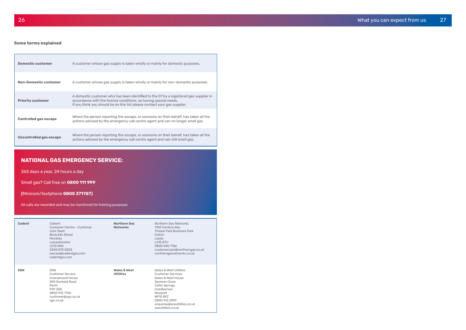#### **Some terms explained**

| <b>Domestic customer</b>     | A customer whose gas supply is taken wholly or mainly for domestic purposes.                                                                                                                                                           |
|------------------------------|----------------------------------------------------------------------------------------------------------------------------------------------------------------------------------------------------------------------------------------|
| <b>Non-Domestic customer</b> | A customer whose gas supply is taken wholly or mainly for non-domestic purposes.                                                                                                                                                       |
| <b>Priority customer</b>     | A domestic customer who has been identified to the GT by a registered gas supplier in<br>accordance with the licence conditions, as having special needs.<br>If you think you should be on this list please contact your gas supplier. |
| <b>Controlled gas escape</b> | Where the person reporting the escape, or someone on their behalf, has taken all the<br>actions advised by the emergency call centre agent and can no longer smell gas                                                                 |
| Uncontrolled gas escape      | Where the person reporting the escape, or someone on their behalf, has taken all the<br>actions advised by the emergency call centre agent and can still smell gas.                                                                    |

| <b>Cadent</b> | Cadent<br>Customer Centre - Customer<br>Care Team<br><b>Brick Kiln Street</b><br>Hinckley<br>Leicestershire<br>LE10 ONA<br>0345 070 0203<br>wecare@cadentgas.com<br>cadentgas.com | <b>Northern Gas</b><br><b>Networks</b> | Northern Gas Networks<br>1100 Century Way<br>Thorpe Park Business Park<br>Colton<br>Leeds<br><b>LS15 8TU</b><br>0800 040 7766<br>customercare@northerngas.co.uk<br>northerngasnetworks.co.uk                                        |
|---------------|-----------------------------------------------------------------------------------------------------------------------------------------------------------------------------------|----------------------------------------|-------------------------------------------------------------------------------------------------------------------------------------------------------------------------------------------------------------------------------------|
| <b>SGN</b>    | <b>SGN</b><br>Customer Service<br>Inveralmond House<br>200 Dunkeld Road<br>Perth<br><b>PH13A0</b><br>0800 912 1700<br>customer@sgn.co.uk<br>sgn.co.uk                             | Wales & West<br><b>Utilities</b>       | Wales & West Utilities<br><b>Customer Services</b><br>Wales & West House<br>Spooner Close<br><b>Celtic Springs</b><br>Coedkernew<br>Newport<br><b>NP10 8FZ</b><br>0800 912 2999<br>enquiries@wwutilities.co.uk<br>wwutilities.co.uk |

## $26$  Mhat you can expect from us  $27$

## **NATIONAL GAS EMERGENCY SERVICE:**

365 days a year, 24 hours a day

Smell gas? Call free on **0800 111 999**

**(**Minicom/textphone **0800 371787)**

All calls are recorded and may be monitored for training purposes